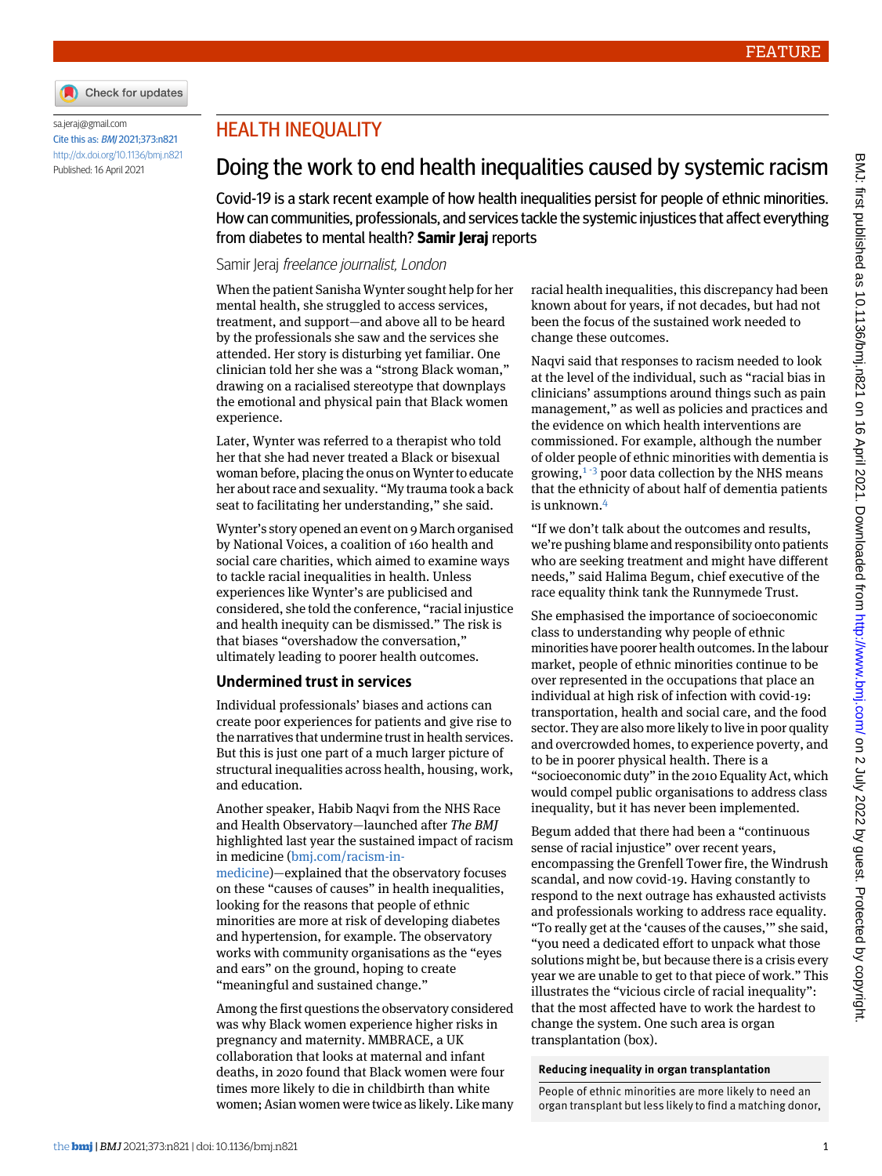

#### [sa.jeraj@gmail.com](mailto:sa.jeraj@gmail.com) Cite this as: BMJ 2021;373:n821 <http://dx.doi.org/10.1136/bmj.n821> Published: 16 April 2021

## HEALTH INEQUALITY

# Doing the work to end health inequalities caused by systemic racism

Covid-19 is a stark recent example of how health inequalities persist for people of ethnic minorities. How can communities, professionals, and services tackle the systemic injustices that affect everything from diabetes to mental health? **Samir Jeraj** reports

### Samir Jeraj freelance journalist, London

When the patient Sanisha Wynter sought help for her mental health, she struggled to access services, treatment, and support—and above all to be heard by the professionals she saw and the services she attended. Her story is disturbing yet familiar. One clinician told her she was a "strong Black woman," drawing on a racialised stereotype that downplays the emotional and physical pain that Black women experience.

Later, Wynter was referred to a therapist who told her that she had never treated a Black or bisexual woman before, placing the onus on Wynter to educate her about race and sexuality. "My trauma took a back seat to facilitating her understanding," she said.

Wynter's story opened an event on 9 March organised by National Voices, a coalition of 160 health and social care charities, which aimed to examine ways to tackle racial inequalities in health. Unless experiences like Wynter's are publicised and considered, she told the conference, "racial injustice and health inequity can be dismissed." The risk is that biases "overshadow the conversation," ultimately leading to poorer health outcomes.

## **Undermined trust in services**

Individual professionals' biases and actions can create poor experiences for patients and give rise to the narratives that undermine trust in health services. But this is just one part of a much larger picture of structural inequalities across health, housing, work, and education.

Another speaker, Habib Naqvi from the NHS Race and Health Observatory—launched after *The BMJ* highlighted last year the sustained impact of racism in medicine ([bmj.com/racism-in](http://bmj.com/racism-in-medicine)[medicine\)](http://bmj.com/racism-in-medicine)—explained that the observatory focuses

on these "causes of causes" in health inequalities, looking for the reasons that people of ethnic minorities are more at risk of developing diabetes and hypertension, for example. The observatory works with community organisations as the "eyes and ears" on the ground, hoping to create "meaningful and sustained change."

Among the first questions the observatory considered was why Black women experience higher risks in pregnancy and maternity. MMBRACE, a UK collaboration that looks at maternal and infant deaths, in 2020 found that Black women were four times more likely to die in childbirth than white women; Asian women were twice as likely. Like many racial health inequalities, this discrepancy had been known about for years, if not decades, but had not been the focus of the sustained work needed to change these outcomes.

Naqvi said that responses to racism needed to look at the level of the individual, such as "racial bias in clinicians' assumptions around things such as pain management," as well as policies and practices and the evidence on which health interventions are commissioned. For example, although the number of older people of ethnic minorities with dementia is growing, $1\overline{3}$  $1\overline{3}$  $1\overline{3}$  $1\overline{3}$  poor data collection by the NHS means that the ethnicity of about half of dementia patients is unknown.[4](#page-1-3)

"If we don't talk about the outcomes and results, we're pushing blame and responsibility onto patients who are seeking treatment and might have different needs," said Halima Begum, chief executive of the race equality think tank the Runnymede Trust.

She emphasised the importance of socioeconomic class to understanding why people of ethnic minorities have poorer health outcomes. In the labour market, people of ethnic minorities continue to be over represented in the occupations that place an individual at high risk of infection with covid-19: transportation, health and social care, and the food sector. They are also more likely to live in poor quality and overcrowded homes, to experience poverty, and to be in poorer physical health. There is a "socioeconomic duty" in the 2010 Equality Act, which would compel public organisations to address class inequality, but it has never been implemented.

Begum added that there had been a "continuous sense of racial injustice" over recent years, encompassing the Grenfell Tower fire, the Windrush scandal, and now covid-19. Having constantly to respond to the next outrage has exhausted activists and professionals working to address race equality. "To really get at the 'causes of the causes,'" she said, "you need a dedicated effort to unpack what those solutions might be, but because there is a crisis every year we are unable to get to that piece of work." This illustrates the "vicious circle of racial inequality": that the most affected have to work the hardest to change the system. One such area is organ transplantation (box).

#### **Reducing inequality in organ transplantation**

People of ethnic minorities are more likely to need an organ transplant but less likely to find a matching donor,